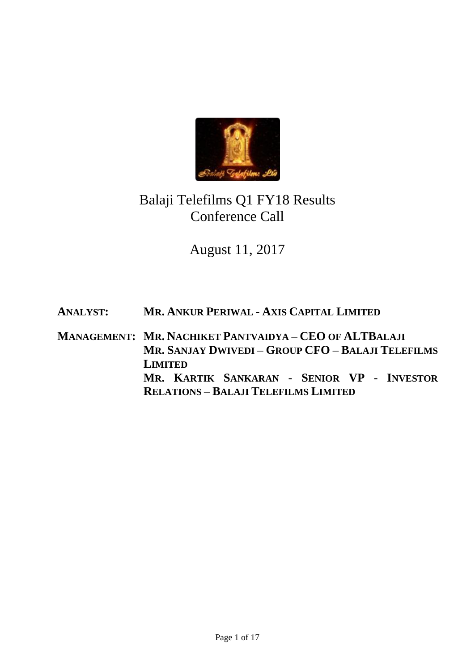

# Balaji Telefilms Q1 FY18 Results Conference Call

# August 11, 2017

**ANALYST: MR. ANKUR PERIWAL - AXIS CAPITAL LIMITED**

**MANAGEMENT: MR. NACHIKET PANTVAIDYA – CEO OF ALTBALAJI MR. SANJAY DWIVEDI – GROUP CFO – BALAJI TELEFILMS LIMITED MR. KARTIK SANKARAN - SENIOR VP - INVESTOR RELATIONS – BALAJI TELEFILMS LIMITED**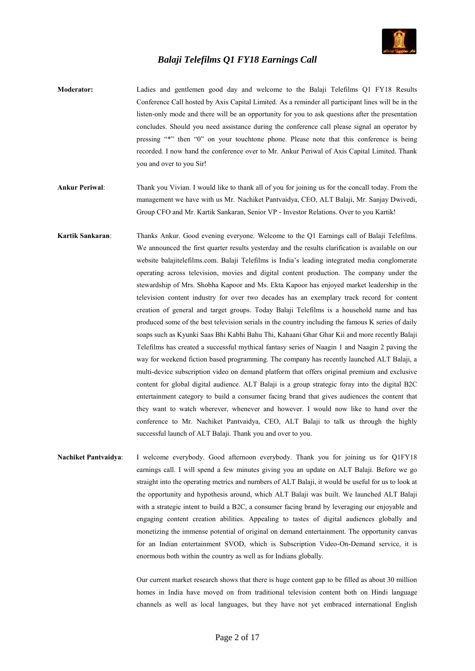

- **Moderator:** Ladies and gentlemen good day and welcome to the Balaji Telefilms Q1 FY18 Results Conference Call hosted by Axis Capital Limited. As a reminder all participant lines will be in the listen-only mode and there will be an opportunity for you to ask questions after the presentation concludes. Should you need assistance during the conference call please signal an operator by pressing "\*" then "0" on your touchtone phone. Please note that this conference is being recorded. I now hand the conference over to Mr. Ankur Periwal of Axis Capital Limited. Thank you and over to you Sir!
- **Ankur Periwal**: Thank you Vivian. I would like to thank all of you for joining us for the concall today. From the management we have with us Mr. Nachiket Pantvaidya, CEO, ALT Balaji, Mr. Sanjay Dwivedi, Group CFO and Mr. Kartik Sankaran, Senior VP - Investor Relations. Over to you Kartik!
- **Kartik Sankaran**: Thanks Ankur. Good evening everyone. Welcome to the Q1 Earnings call of Balaji Telefilms. We announced the first quarter results yesterday and the results clarification is available on our website balajitelefilms.com. Balaji Telefilms is India's leading integrated media conglomerate operating across television, movies and digital content production. The company under the stewardship of Mrs. Shobha Kapoor and Ms. Ekta Kapoor has enjoyed market leadership in the television content industry for over two decades has an exemplary track record for content creation of general and target groups. Today Balaji Telefilms is a household name and has produced some of the best television serials in the country including the famous K series of daily soaps such as Kyunki Saas Bhi Kabhi Bahu Thi, Kahaani Ghar Ghar Kii and more recently Balaji Telefilms has created a successful mythical fantasy series of Naagin 1 and Naagin 2 paving the way for weekend fiction based programming. The company has recently launched ALT Balaji, a multi-device subscription video on demand platform that offers original premium and exclusive content for global digital audience. ALT Balaji is a group strategic foray into the digital B2C entertainment category to build a consumer facing brand that gives audiences the content that they want to watch wherever, whenever and however. I would now like to hand over the conference to Mr. Nachiket Pantvaidya, CEO, ALT Balaji to talk us through the highly successful launch of ALT Balaji. Thank you and over to you.
- **Nachiket Pantvaidya**: I welcome everybody. Good afternoon everybody. Thank you for joining us for Q1FY18 earnings call. I will spend a few minutes giving you an update on ALT Balaji. Before we go straight into the operating metrics and numbers of ALT Balaji, it would be useful for us to look at the opportunity and hypothesis around, which ALT Balaji was built. We launched ALT Balaji with a strategic intent to build a B2C, a consumer facing brand by leveraging our enjoyable and engaging content creation abilities. Appealing to tastes of digital audiences globally and monetizing the immense potential of original on demand entertainment. The opportunity canvas for an Indian entertainment SVOD, which is Subscription Video-On-Demand service, it is enormous both within the country as well as for Indians globally.

Our current market research shows that there is huge content gap to be filled as about 30 million homes in India have moved on from traditional television content both on Hindi language channels as well as local languages, but they have not yet embraced international English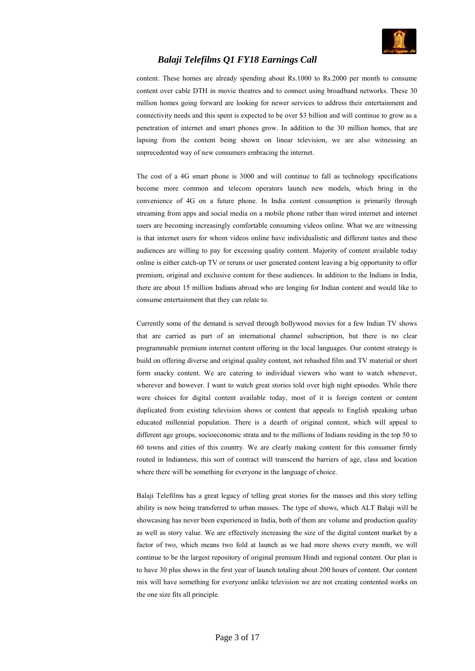

content. These homes are already spending about Rs.1000 to Rs.2000 per month to consume content over cable DTH in movie theatres and to connect using broadband networks. These 30 million homes going forward are looking for newer services to address their entertainment and connectivity needs and this spent is expected to be over \$3 billion and will continue to grow as a penetration of internet and smart phones grow. In addition to the 30 million homes, that are lapsing from the content being shown on linear television, we are also witnessing an unprecedented way of new consumers embracing the internet.

The cost of a 4G smart phone is 3000 and will continue to fall as technology specifications become more common and telecom operators launch new models, which bring in the convenience of 4G on a future phone. In India content consumption is primarily through streaming from apps and social media on a mobile phone rather than wired internet and internet users are becoming increasingly comfortable consuming videos online. What we are witnessing is that internet users for whom videos online have individualistic and different tastes and these audiences are willing to pay for excessing quality content. Majority of content available today online is either catch-up TV or reruns or user generated content leaving a big opportunity to offer premium, original and exclusive content for these audiences. In addition to the Indians in India, there are about 15 million Indians abroad who are longing for Indian content and would like to consume entertainment that they can relate to.

Currently some of the demand is served through bollywood movies for a few Indian TV shows that are carried as part of an international channel subscription, but there is no clear programmable premium internet content offering in the local languages. Our content strategy is build on offering diverse and original quality content, not rehashed film and TV material or short form snacky content. We are catering to individual viewers who want to watch whenever, wherever and however. I want to watch great stories told over high night episodes. While there were choices for digital content available today, most of it is foreign content or content duplicated from existing television shows or content that appeals to English speaking urban educated millennial population. There is a dearth of original content, which will appeal to different age groups, socioeconomic strata and to the millions of Indians residing in the top 50 to 60 towns and cities of this country. We are clearly making content for this consumer firmly routed in Indianness, this sort of contract will transcend the barriers of age, class and location where there will be something for everyone in the language of choice.

Balaji Telefilms has a great legacy of telling great stories for the masses and this story telling ability is now being transferred to urban masses. The type of shows, which ALT Balaji will be showcasing has never been experienced in India, both of them are volume and production quality as well as story value. We are effectively increasing the size of the digital content market by a factor of two, which means two fold at launch as we had more shows every month, we will continue to be the largest repository of original premium Hindi and regional content. Our plan is to have 30 plus shows in the first year of launch totaling about 200 hours of content. Our content mix will have something for everyone unlike television we are not creating contented works on the one size fits all principle.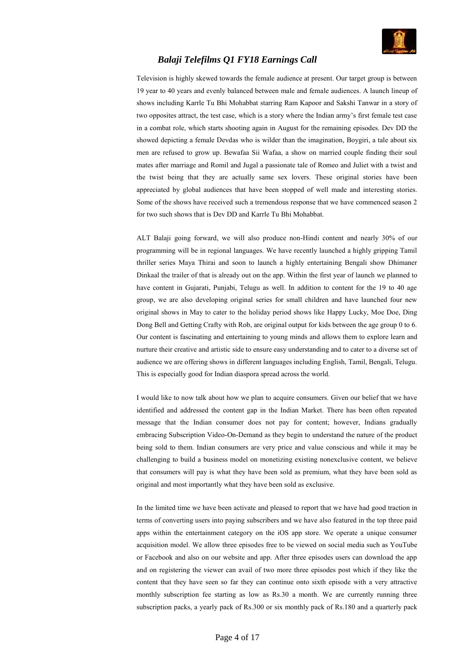

Television is highly skewed towards the female audience at present. Our target group is between 19 year to 40 years and evenly balanced between male and female audiences. A launch lineup of shows including Karrle Tu Bhi Mohabbat starring Ram Kapoor and Sakshi Tanwar in a story of two opposites attract, the test case, which is a story where the Indian army's first female test case in a combat role, which starts shooting again in August for the remaining episodes. Dev DD the showed depicting a female Devdas who is wilder than the imagination, Boygiri, a tale about six men are refused to grow up. Bewafaa Sii Wafaa, a show on married couple finding their soul mates after marriage and Romil and Jugal a passionate tale of Romeo and Juliet with a twist and the twist being that they are actually same sex lovers. These original stories have been appreciated by global audiences that have been stopped of well made and interesting stories. Some of the shows have received such a tremendous response that we have commenced season 2 for two such shows that is Dev DD and Karrle Tu Bhi Mohabbat.

ALT Balaji going forward, we will also produce non-Hindi content and nearly 30% of our programming will be in regional languages. We have recently launched a highly gripping Tamil thriller series Maya Thirai and soon to launch a highly entertaining Bengali show Dhimaner Dinkaal the trailer of that is already out on the app. Within the first year of launch we planned to have content in Gujarati, Punjabi, Telugu as well. In addition to content for the 19 to 40 age group, we are also developing original series for small children and have launched four new original shows in May to cater to the holiday period shows like Happy Lucky, Moe Doe, Ding Dong Bell and Getting Crafty with Rob, are original output for kids between the age group 0 to 6. Our content is fascinating and entertaining to young minds and allows them to explore learn and nurture their creative and artistic side to ensure easy understanding and to cater to a diverse set of audience we are offering shows in different languages including English, Tamil, Bengali, Telugu. This is especially good for Indian diaspora spread across the world.

I would like to now talk about how we plan to acquire consumers. Given our belief that we have identified and addressed the content gap in the Indian Market. There has been often repeated message that the Indian consumer does not pay for content; however, Indians gradually embracing Subscription Video-On-Demand as they begin to understand the nature of the product being sold to them. Indian consumers are very price and value conscious and while it may be challenging to build a business model on monetizing existing nonexclusive content, we believe that consumers will pay is what they have been sold as premium, what they have been sold as original and most importantly what they have been sold as exclusive.

In the limited time we have been activate and pleased to report that we have had good traction in terms of converting users into paying subscribers and we have also featured in the top three paid apps within the entertainment category on the iOS app store. We operate a unique consumer acquisition model. We allow three episodes free to be viewed on social media such as YouTube or Facebook and also on our website and app. After three episodes users can download the app and on registering the viewer can avail of two more three episodes post which if they like the content that they have seen so far they can continue onto sixth episode with a very attractive monthly subscription fee starting as low as Rs.30 a month. We are currently running three subscription packs, a yearly pack of Rs.300 or six monthly pack of Rs.180 and a quarterly pack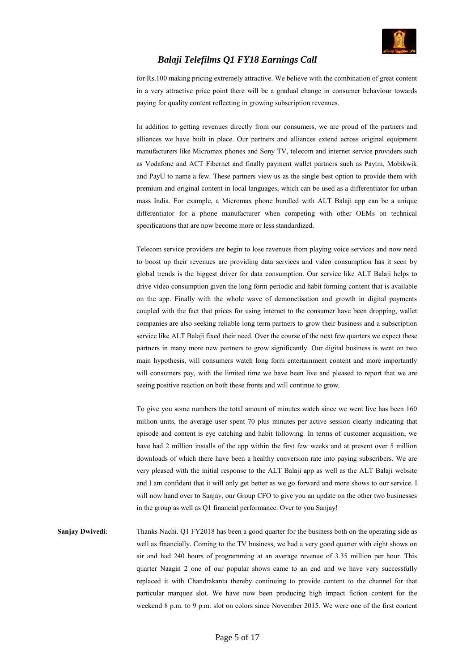

for Rs.100 making pricing extremely attractive. We believe with the combination of great content in a very attractive price point there will be a gradual change in consumer behaviour towards paying for quality content reflecting in growing subscription revenues.

In addition to getting revenues directly from our consumers, we are proud of the partners and alliances we have built in place. Our partners and alliances extend across original equipment manufacturers like Micromax phones and Sony TV, telecom and internet service providers such as Vodafone and ACT Fibernet and finally payment wallet partners such as Paytm, Mobikwik and PayU to name a few. These partners view us as the single best option to provide them with premium and original content in local languages, which can be used as a differentiator for urban mass India. For example, a Micromax phone bundled with ALT Balaji app can be a unique differentiator for a phone manufacturer when competing with other OEMs on technical specifications that are now become more or less standardized.

Telecom service providers are begin to lose revenues from playing voice services and now need to boost up their revenues are providing data services and video consumption has it seen by global trends is the biggest driver for data consumption. Our service like ALT Balaji helps to drive video consumption given the long form periodic and habit forming content that is available on the app. Finally with the whole wave of demonetisation and growth in digital payments coupled with the fact that prices for using internet to the consumer have been dropping, wallet companies are also seeking reliable long term partners to grow their business and a subscription service like ALT Balaji fixed their need. Over the course of the next few quarters we expect these partners in many more new partners to grow significantly. Our digital business is went on two main hypothesis, will consumers watch long form entertainment content and more importantly will consumers pay, with the limited time we have been live and pleased to report that we are seeing positive reaction on both these fronts and will continue to grow.

To give you some numbers the total amount of minutes watch since we went live has been 160 million units, the average user spent 70 plus minutes per active session clearly indicating that episode and content is eye catching and habit following. In terms of customer acquisition, we have had 2 million installs of the app within the first few weeks and at present over 5 million downloads of which there have been a healthy conversion rate into paying subscribers. We are very pleased with the initial response to the ALT Balaji app as well as the ALT Balaji website and I am confident that it will only get better as we go forward and more shows to our service. I will now hand over to Sanjay, our Group CFO to give you an update on the other two businesses in the group as well as Q1 financial performance. Over to you Sanjay!

**Sanjay Dwivedi:** Thanks Nachi. Q1 FY2018 has been a good quarter for the business both on the operating side as well as financially. Coming to the TV business, we had a very good quarter with eight shows on air and had 240 hours of programming at an average revenue of 3.35 million per hour. This quarter Naagin 2 one of our popular shows came to an end and we have very successfully replaced it with Chandrakanta thereby continuing to provide content to the channel for that particular marquee slot. We have now been producing high impact fiction content for the weekend 8 p.m. to 9 p.m. slot on colors since November 2015. We were one of the first content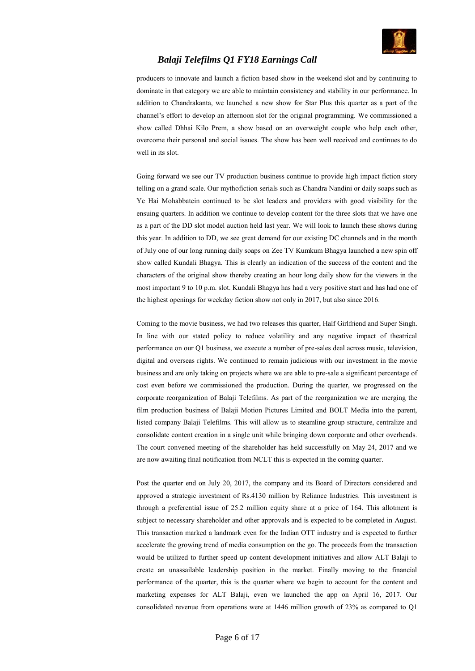

producers to innovate and launch a fiction based show in the weekend slot and by continuing to dominate in that category we are able to maintain consistency and stability in our performance. In addition to Chandrakanta, we launched a new show for Star Plus this quarter as a part of the channel's effort to develop an afternoon slot for the original programming. We commissioned a show called Dhhai Kilo Prem, a show based on an overweight couple who help each other, overcome their personal and social issues. The show has been well received and continues to do well in its slot.

Going forward we see our TV production business continue to provide high impact fiction story telling on a grand scale. Our mythofiction serials such as Chandra Nandini or daily soaps such as Ye Hai Mohabbatein continued to be slot leaders and providers with good visibility for the ensuing quarters. In addition we continue to develop content for the three slots that we have one as a part of the DD slot model auction held last year. We will look to launch these shows during this year. In addition to DD, we see great demand for our existing DC channels and in the month of July one of our long running daily soaps on Zee TV Kumkum Bhagya launched a new spin off show called Kundali Bhagya. This is clearly an indication of the success of the content and the characters of the original show thereby creating an hour long daily show for the viewers in the most important 9 to 10 p.m. slot. Kundali Bhagya has had a very positive start and has had one of the highest openings for weekday fiction show not only in 2017, but also since 2016.

Coming to the movie business, we had two releases this quarter, Half Girlfriend and Super Singh. In line with our stated policy to reduce volatility and any negative impact of theatrical performance on our Q1 business, we execute a number of pre-sales deal across music, television, digital and overseas rights. We continued to remain judicious with our investment in the movie business and are only taking on projects where we are able to pre-sale a significant percentage of cost even before we commissioned the production. During the quarter, we progressed on the corporate reorganization of Balaji Telefilms. As part of the reorganization we are merging the film production business of Balaji Motion Pictures Limited and BOLT Media into the parent, listed company Balaji Telefilms. This will allow us to steamline group structure, centralize and consolidate content creation in a single unit while bringing down corporate and other overheads. The court convened meeting of the shareholder has held successfully on May 24, 2017 and we are now awaiting final notification from NCLT this is expected in the coming quarter.

Post the quarter end on July 20, 2017, the company and its Board of Directors considered and approved a strategic investment of Rs.4130 million by Reliance Industries. This investment is through a preferential issue of 25.2 million equity share at a price of 164. This allotment is subject to necessary shareholder and other approvals and is expected to be completed in August. This transaction marked a landmark even for the Indian OTT industry and is expected to further accelerate the growing trend of media consumption on the go. The proceeds from the transaction would be utilized to further speed up content development initiatives and allow ALT Balaji to create an unassailable leadership position in the market. Finally moving to the financial performance of the quarter, this is the quarter where we begin to account for the content and marketing expenses for ALT Balaji, even we launched the app on April 16, 2017. Our consolidated revenue from operations were at 1446 million growth of 23% as compared to Q1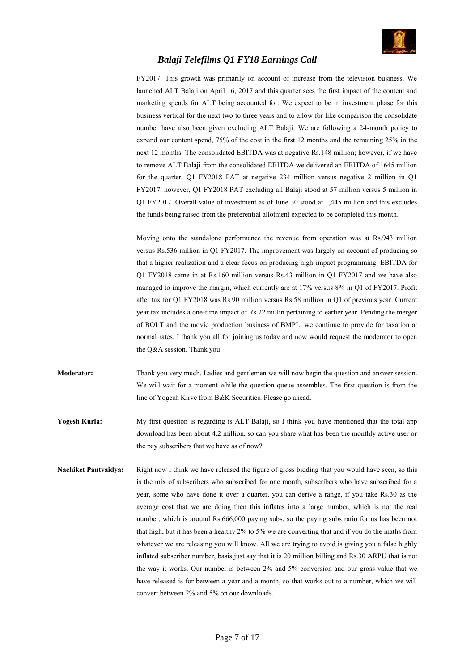

FY2017. This growth was primarily on account of increase from the television business. We launched ALT Balaji on April 16, 2017 and this quarter sees the first impact of the content and marketing spends for ALT being accounted for. We expect to be in investment phase for this business vertical for the next two to three years and to allow for like comparison the consolidate number have also been given excluding ALT Balaji. We are following a 24-month policy to expand our content spend, 75% of the cost in the first 12 months and the remaining 25% in the next 12 months. The consolidated EBITDA was at negative Rs.148 million; however, if we have to remove ALT Balaji from the consolidated EBITDA we delivered an EBITDA of 1645 million for the quarter. Q1 FY2018 PAT at negative 234 million versus negative 2 million in Q1 FY2017, however, Q1 FY2018 PAT excluding all Balaji stood at 57 million versus 5 million in Q1 FY2017. Overall value of investment as of June 30 stood at 1,445 million and this excludes the funds being raised from the preferential allotment expected to be completed this month.

Moving onto the standalone performance the revenue from operation was at Rs.943 million versus Rs.536 million in Q1 FY2017. The improvement was largely on account of producing so that a higher realization and a clear focus on producing high-impact programming. EBITDA for Q1 FY2018 came in at Rs.160 million versus Rs.43 million in Q1 FY2017 and we have also managed to improve the margin, which currently are at 17% versus 8% in Q1 of FY2017. Profit after tax for Q1 FY2018 was Rs.90 million versus Rs.58 million in Q1 of previous year. Current year tax includes a one-time impact of Rs.22 millin pertaining to earlier year. Pending the merger of BOLT and the movie production business of BMPL, we continue to provide for taxation at normal rates. I thank you all for joining us today and now would request the moderator to open the Q&A session. Thank you.

- **Moderator:** Thank you very much. Ladies and gentlemen we will now begin the question and answer session. We will wait for a moment while the question queue assembles. The first question is from the line of Yogesh Kirve from B&K Securities. Please go ahead.
- **Yogesh Kuria:** My first question is regarding is ALT Balaji, so I think you have mentioned that the total app download has been about 4.2 million, so can you share what has been the monthly active user or the pay subscribers that we have as of now?
- **Nachiket Pantvaidya:** Right now I think we have released the figure of gross bidding that you would have seen, so this is the mix of subscribers who subscribed for one month, subscribers who have subscribed for a year, some who have done it over a quarter, you can derive a range, if you take Rs.30 as the average cost that we are doing then this inflates into a large number, which is not the real number, which is around Rs.666,000 paying subs, so the paying subs ratio for us has been not that high, but it has been a healthy 2% to 5% we are converting that and if you do the maths from whatever we are releasing you will know. All we are trying to avoid is giving you a false highly inflated subscriber number, basis just say that it is 20 million billing and Rs.30 ARPU that is not the way it works. Our number is between 2% and 5% conversion and our gross value that we have released is for between a year and a month, so that works out to a number, which we will convert between 2% and 5% on our downloads.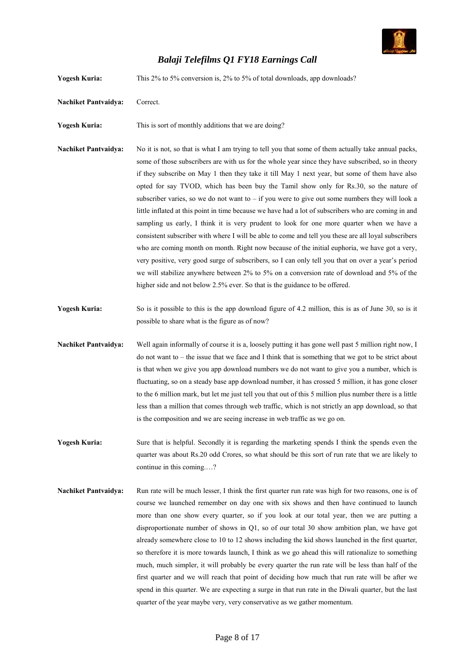

| <b>Yogesh Kuria:</b>        | This 2% to 5% conversion is, 2% to 5% of total downloads, app downloads?                                                                                                                                                                                                                                                                                                                                                                                                                                                                                                                                                                                                                                                                                                                                                                                                                                                                                                                                                                                                                                                                                                                                |
|-----------------------------|---------------------------------------------------------------------------------------------------------------------------------------------------------------------------------------------------------------------------------------------------------------------------------------------------------------------------------------------------------------------------------------------------------------------------------------------------------------------------------------------------------------------------------------------------------------------------------------------------------------------------------------------------------------------------------------------------------------------------------------------------------------------------------------------------------------------------------------------------------------------------------------------------------------------------------------------------------------------------------------------------------------------------------------------------------------------------------------------------------------------------------------------------------------------------------------------------------|
| <b>Nachiket Pantvaidya:</b> | Correct.                                                                                                                                                                                                                                                                                                                                                                                                                                                                                                                                                                                                                                                                                                                                                                                                                                                                                                                                                                                                                                                                                                                                                                                                |
| <b>Yogesh Kuria:</b>        | This is sort of monthly additions that we are doing?                                                                                                                                                                                                                                                                                                                                                                                                                                                                                                                                                                                                                                                                                                                                                                                                                                                                                                                                                                                                                                                                                                                                                    |
| <b>Nachiket Pantvaidya:</b> | No it is not, so that is what I am trying to tell you that some of them actually take annual packs,<br>some of those subscribers are with us for the whole year since they have subscribed, so in theory<br>if they subscribe on May 1 then they take it till May 1 next year, but some of them have also<br>opted for say TVOD, which has been buy the Tamil show only for Rs.30, so the nature of<br>subscriber varies, so we do not want to - if you were to give out some numbers they will look a<br>little inflated at this point in time because we have had a lot of subscribers who are coming in and<br>sampling us early, I think it is very prudent to look for one more quarter when we have a<br>consistent subscriber with where I will be able to come and tell you these are all loyal subscribers<br>who are coming month on month. Right now because of the initial euphoria, we have got a very,<br>very positive, very good surge of subscribers, so I can only tell you that on over a year's period<br>we will stabilize anywhere between 2% to 5% on a conversion rate of download and 5% of the<br>higher side and not below 2.5% ever. So that is the guidance to be offered. |
| <b>Yogesh Kuria:</b>        | So is it possible to this is the app download figure of 4.2 million, this is as of June 30, so is it<br>possible to share what is the figure as of now?                                                                                                                                                                                                                                                                                                                                                                                                                                                                                                                                                                                                                                                                                                                                                                                                                                                                                                                                                                                                                                                 |
| <b>Nachiket Pantvaidya:</b> | Well again informally of course it is a, loosely putting it has gone well past 5 million right now, I<br>do not want to – the issue that we face and I think that is something that we got to be strict about<br>is that when we give you app download numbers we do not want to give you a number, which is<br>fluctuating, so on a steady base app download number, it has crossed 5 million, it has gone closer<br>to the 6 million mark, but let me just tell you that out of this 5 million plus number there is a little<br>less than a million that comes through web traffic, which is not strictly an app download, so that<br>is the composition and we are seeing increase in web traffic as we go on.                                                                                                                                                                                                                                                                                                                                                                                                                                                                                       |
| <b>Yogesh Kuria:</b>        | Sure that is helpful. Secondly it is regarding the marketing spends I think the spends even the<br>quarter was about Rs.20 odd Crores, so what should be this sort of run rate that we are likely to<br>continue in this coming?                                                                                                                                                                                                                                                                                                                                                                                                                                                                                                                                                                                                                                                                                                                                                                                                                                                                                                                                                                        |
| <b>Nachiket Pantvaidya:</b> | Run rate will be much lesser, I think the first quarter run rate was high for two reasons, one is of<br>course we launched remember on day one with six shows and then have continued to launch<br>more than one show every quarter, so if you look at our total year, then we are putting a<br>disproportionate number of shows in Q1, so of our total 30 show ambition plan, we have got<br>already somewhere close to 10 to 12 shows including the kid shows launched in the first quarter,<br>so therefore it is more towards launch, I think as we go ahead this will rationalize to something<br>much, much simpler, it will probably be every quarter the run rate will be less than half of the<br>first quarter and we will reach that point of deciding how much that run rate will be after we<br>spend in this quarter. We are expecting a surge in that run rate in the Diwali quarter, but the last<br>quarter of the year maybe very, very conservative as we gather momentum.                                                                                                                                                                                                           |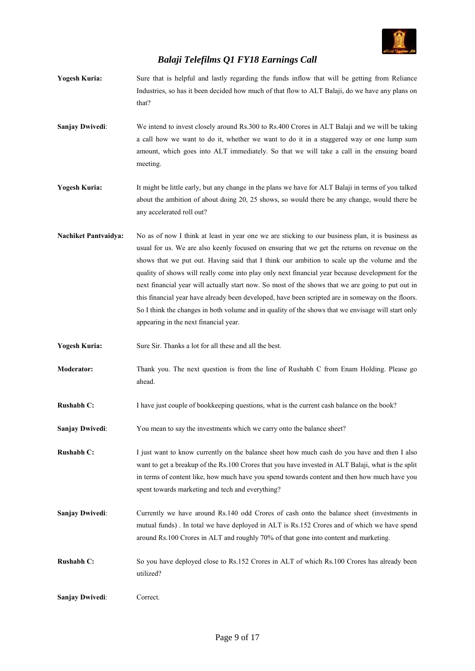

- **Yogesh Kuria:** Sure that is helpful and lastly regarding the funds inflow that will be getting from Reliance Industries, so has it been decided how much of that flow to ALT Balaji, do we have any plans on that?
- **Sanjay Dwivedi:** We intend to invest closely around Rs.300 to Rs.400 Crores in ALT Balaji and we will be taking a call how we want to do it, whether we want to do it in a staggered way or one lump sum amount, which goes into ALT immediately. So that we will take a call in the ensuing board meeting.

**Yogesh Kuria:** It might be little early, but any change in the plans we have for ALT Balaji in terms of you talked about the ambition of about doing 20, 25 shows, so would there be any change, would there be any accelerated roll out?

- **Nachiket Pantvaidya:** No as of now I think at least in year one we are sticking to our business plan, it is business as usual for us. We are also keenly focused on ensuring that we get the returns on revenue on the shows that we put out. Having said that I think our ambition to scale up the volume and the quality of shows will really come into play only next financial year because development for the next financial year will actually start now. So most of the shows that we are going to put out in this financial year have already been developed, have been scripted are in someway on the floors. So I think the changes in both volume and in quality of the shows that we envisage will start only appearing in the next financial year.
- **Yogesh Kuria:** Sure Sir. Thanks a lot for all these and all the best.
- **Moderator:** Thank you. The next question is from the line of Rushabh C from Enam Holding. Please go ahead.
- **Rushabh C:** I have just couple of bookkeeping questions, what is the current cash balance on the book?
- **Sanjay Dwivedi:** You mean to say the investments which we carry onto the balance sheet?
- **Rushabh C:** I just want to know currently on the balance sheet how much cash do you have and then I also want to get a breakup of the Rs.100 Crores that you have invested in ALT Balaji, what is the split in terms of content like, how much have you spend towards content and then how much have you spent towards marketing and tech and everything?
- **Sanjay Dwivedi:** Currently we have around Rs.140 odd Crores of cash onto the balance sheet (investments in mutual funds) . In total we have deployed in ALT is Rs.152 Crores and of which we have spend around Rs.100 Crores in ALT and roughly 70% of that gone into content and marketing.
- **Rushabh C:** So you have deployed close to Rs.152 Crores in ALT of which Rs.100 Crores has already been utilized?

**Sanjay Dwivedi:** Correct.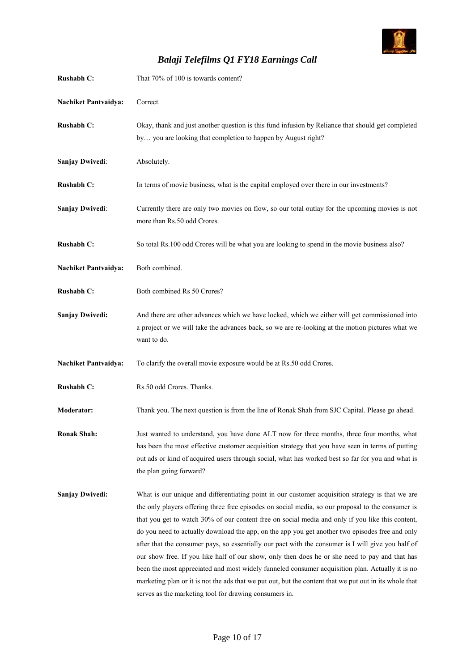![](_page_9_Picture_0.jpeg)

| <b>Rushabh C:</b>           | That 70% of 100 is towards content?                                                                                                                                                                                                                                                                                                                                                                                                                                                                                                                                                                                                                                                                                                                                                                                                                                                         |
|-----------------------------|---------------------------------------------------------------------------------------------------------------------------------------------------------------------------------------------------------------------------------------------------------------------------------------------------------------------------------------------------------------------------------------------------------------------------------------------------------------------------------------------------------------------------------------------------------------------------------------------------------------------------------------------------------------------------------------------------------------------------------------------------------------------------------------------------------------------------------------------------------------------------------------------|
| <b>Nachiket Pantvaidya:</b> | Correct.                                                                                                                                                                                                                                                                                                                                                                                                                                                                                                                                                                                                                                                                                                                                                                                                                                                                                    |
| Rushabh C:                  | Okay, thank and just another question is this fund infusion by Reliance that should get completed<br>by you are looking that completion to happen by August right?                                                                                                                                                                                                                                                                                                                                                                                                                                                                                                                                                                                                                                                                                                                          |
| <b>Sanjay Dwivedi:</b>      | Absolutely.                                                                                                                                                                                                                                                                                                                                                                                                                                                                                                                                                                                                                                                                                                                                                                                                                                                                                 |
| <b>Rushabh C:</b>           | In terms of movie business, what is the capital employed over there in our investments?                                                                                                                                                                                                                                                                                                                                                                                                                                                                                                                                                                                                                                                                                                                                                                                                     |
| <b>Sanjay Dwivedi:</b>      | Currently there are only two movies on flow, so our total outlay for the upcoming movies is not<br>more than Rs.50 odd Crores.                                                                                                                                                                                                                                                                                                                                                                                                                                                                                                                                                                                                                                                                                                                                                              |
| Rushabh C:                  | So total Rs.100 odd Crores will be what you are looking to spend in the movie business also?                                                                                                                                                                                                                                                                                                                                                                                                                                                                                                                                                                                                                                                                                                                                                                                                |
| <b>Nachiket Pantvaidya:</b> | Both combined.                                                                                                                                                                                                                                                                                                                                                                                                                                                                                                                                                                                                                                                                                                                                                                                                                                                                              |
| <b>Rushabh C:</b>           | Both combined Rs 50 Crores?                                                                                                                                                                                                                                                                                                                                                                                                                                                                                                                                                                                                                                                                                                                                                                                                                                                                 |
| <b>Sanjay Dwivedi:</b>      | And there are other advances which we have locked, which we either will get commissioned into<br>a project or we will take the advances back, so we are re-looking at the motion pictures what we<br>want to do.                                                                                                                                                                                                                                                                                                                                                                                                                                                                                                                                                                                                                                                                            |
| <b>Nachiket Pantvaidya:</b> | To clarify the overall movie exposure would be at Rs.50 odd Crores.                                                                                                                                                                                                                                                                                                                                                                                                                                                                                                                                                                                                                                                                                                                                                                                                                         |
| <b>Rushabh C:</b>           | Rs.50 odd Crores. Thanks.                                                                                                                                                                                                                                                                                                                                                                                                                                                                                                                                                                                                                                                                                                                                                                                                                                                                   |
| <b>Moderator:</b>           | Thank you. The next question is from the line of Ronak Shah from SJC Capital. Please go ahead.                                                                                                                                                                                                                                                                                                                                                                                                                                                                                                                                                                                                                                                                                                                                                                                              |
| <b>Ronak Shah:</b>          | Just wanted to understand, you have done ALT now for three months, three four months, what<br>has been the most effective customer acquisition strategy that you have seen in terms of putting<br>out ads or kind of acquired users through social, what has worked best so far for you and what is<br>the plan going forward?                                                                                                                                                                                                                                                                                                                                                                                                                                                                                                                                                              |
| <b>Sanjay Dwivedi:</b>      | What is our unique and differentiating point in our customer acquisition strategy is that we are<br>the only players offering three free episodes on social media, so our proposal to the consumer is<br>that you get to watch 30% of our content free on social media and only if you like this content,<br>do you need to actually download the app, on the app you get another two episodes free and only<br>after that the consumer pays, so essentially our pact with the consumer is I will give you half of<br>our show free. If you like half of our show, only then does he or she need to pay and that has<br>been the most appreciated and most widely funneled consumer acquisition plan. Actually it is no<br>marketing plan or it is not the ads that we put out, but the content that we put out in its whole that<br>serves as the marketing tool for drawing consumers in. |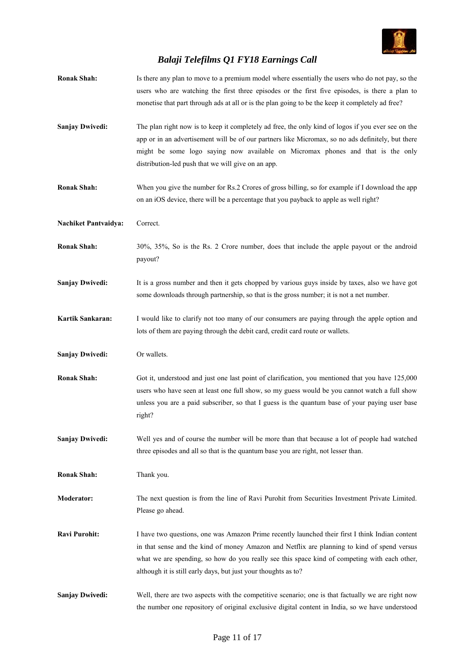![](_page_10_Picture_0.jpeg)

| <b>Ronak Shah:</b>          | Is there any plan to move to a premium model where essentially the users who do not pay, so the<br>users who are watching the first three episodes or the first five episodes, is there a plan to<br>monetise that part through ads at all or is the plan going to be the keep it completely ad free?                                                            |
|-----------------------------|------------------------------------------------------------------------------------------------------------------------------------------------------------------------------------------------------------------------------------------------------------------------------------------------------------------------------------------------------------------|
| <b>Sanjay Dwivedi:</b>      | The plan right now is to keep it completely ad free, the only kind of logos if you ever see on the<br>app or in an advertisement will be of our partners like Micromax, so no ads definitely, but there<br>might be some logo saying now available on Micromax phones and that is the only<br>distribution-led push that we will give on an app.                 |
| <b>Ronak Shah:</b>          | When you give the number for Rs.2 Crores of gross billing, so for example if I download the app<br>on an iOS device, there will be a percentage that you payback to apple as well right?                                                                                                                                                                         |
| <b>Nachiket Pantvaidya:</b> | Correct.                                                                                                                                                                                                                                                                                                                                                         |
| <b>Ronak Shah:</b>          | 30%, 35%, So is the Rs. 2 Crore number, does that include the apple payout or the android<br>payout?                                                                                                                                                                                                                                                             |
| <b>Sanjay Dwivedi:</b>      | It is a gross number and then it gets chopped by various guys inside by taxes, also we have got<br>some downloads through partnership, so that is the gross number; it is not a net number.                                                                                                                                                                      |
| Kartik Sankaran:            | I would like to clarify not too many of our consumers are paying through the apple option and<br>lots of them are paying through the debit card, credit card route or wallets.                                                                                                                                                                                   |
| <b>Sanjay Dwivedi:</b>      | Or wallets.                                                                                                                                                                                                                                                                                                                                                      |
| <b>Ronak Shah:</b>          | Got it, understood and just one last point of clarification, you mentioned that you have 125,000<br>users who have seen at least one full show, so my guess would be you cannot watch a full show<br>unless you are a paid subscriber, so that I guess is the quantum base of your paying user base<br>right?                                                    |
| <b>Sanjay Dwivedi:</b>      | Well yes and of course the number will be more than that because a lot of people had watched<br>three episodes and all so that is the quantum base you are right, not lesser than.                                                                                                                                                                               |
| <b>Ronak Shah:</b>          | Thank you.                                                                                                                                                                                                                                                                                                                                                       |
| Moderator:                  | The next question is from the line of Ravi Purohit from Securities Investment Private Limited.<br>Please go ahead.                                                                                                                                                                                                                                               |
| <b>Ravi Purohit:</b>        | I have two questions, one was Amazon Prime recently launched their first I think Indian content<br>in that sense and the kind of money Amazon and Netflix are planning to kind of spend versus<br>what we are spending, so how do you really see this space kind of competing with each other,<br>although it is still early days, but just your thoughts as to? |
| <b>Sanjay Dwivedi:</b>      | Well, there are two aspects with the competitive scenario; one is that factually we are right now<br>the number one repository of original exclusive digital content in India, so we have understood                                                                                                                                                             |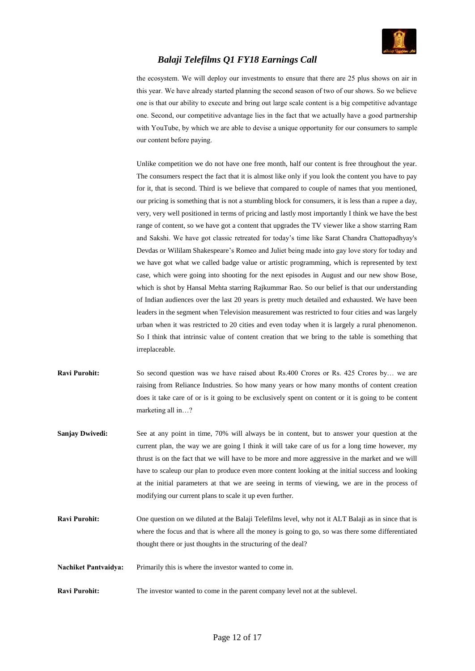![](_page_11_Picture_0.jpeg)

the ecosystem. We will deploy our investments to ensure that there are 25 plus shows on air in this year. We have already started planning the second season of two of our shows. So we believe one is that our ability to execute and bring out large scale content is a big competitive advantage one. Second, our competitive advantage lies in the fact that we actually have a good partnership with YouTube, by which we are able to devise a unique opportunity for our consumers to sample our content before paying.

Unlike competition we do not have one free month, half our content is free throughout the year. The consumers respect the fact that it is almost like only if you look the content you have to pay for it, that is second. Third is we believe that compared to couple of names that you mentioned, our pricing is something that is not a stumbling block for consumers, it is less than a rupee a day, very, very well positioned in terms of pricing and lastly most importantly I think we have the best range of content, so we have got a content that upgrades the TV viewer like a show starring Ram and Sakshi. We have got classic retreated for today's time like Sarat Chandra Chattopadhyay's Devdas or Wililam Shakespeare's Romeo and Juliet being made into gay love story for today and we have got what we called badge value or artistic programming, which is represented by text case, which were going into shooting for the next episodes in August and our new show Bose, which is shot by Hansal Mehta starring Rajkummar Rao. So our belief is that our understanding of Indian audiences over the last 20 years is pretty much detailed and exhausted. We have been leaders in the segment when Television measurement was restricted to four cities and was largely urban when it was restricted to 20 cities and even today when it is largely a rural phenomenon. So I think that intrinsic value of content creation that we bring to the table is something that irreplaceable.

- **Ravi Purohit:** So second question was we have raised about Rs.400 Crores or Rs. 425 Crores by... we are raising from Reliance Industries. So how many years or how many months of content creation does it take care of or is it going to be exclusively spent on content or it is going to be content marketing all in…?
- **Sanjay Dwivedi:** See at any point in time, 70% will always be in content, but to answer your question at the current plan, the way we are going I think it will take care of us for a long time however, my thrust is on the fact that we will have to be more and more aggressive in the market and we will have to scaleup our plan to produce even more content looking at the initial success and looking at the initial parameters at that we are seeing in terms of viewing, we are in the process of modifying our current plans to scale it up even further.
- **Ravi Purohit:** One question on we diluted at the Balaji Telefilms level, why not it ALT Balaji as in since that is where the focus and that is where all the money is going to go, so was there some differentiated thought there or just thoughts in the structuring of the deal?
- **Nachiket Pantvaidya:** Primarily this is where the investor wanted to come in.
- **Ravi Purohit:** The investor wanted to come in the parent company level not at the sublevel.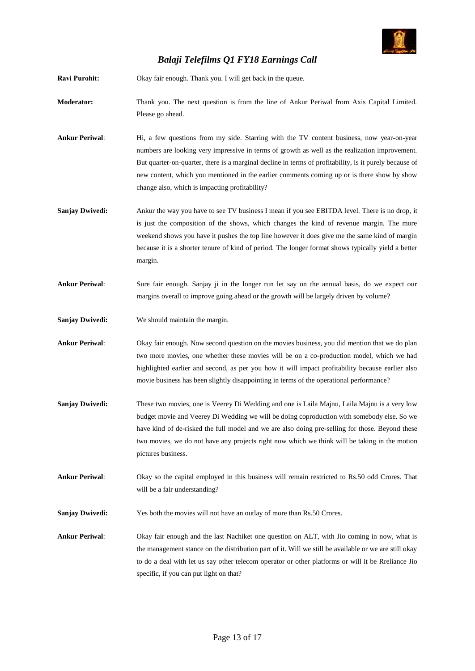![](_page_12_Picture_0.jpeg)

**Ravi Purohit:** Okay fair enough. Thank you. I will get back in the queue.

- **Moderator:** Thank you. The next question is from the line of Ankur Periwal from Axis Capital Limited. Please go ahead.
- Ankur Periwal: Hi, a few questions from my side. Starring with the TV content business, now year-on-year numbers are looking very impressive in terms of growth as well as the realization improvement. But quarter-on-quarter, there is a marginal decline in terms of profitability, is it purely because of new content, which you mentioned in the earlier comments coming up or is there show by show change also, which is impacting profitability?
- **Sanjay Dwivedi:** Ankur the way you have to see TV business I mean if you see EBITDA level. There is no drop, it is just the composition of the shows, which changes the kind of revenue margin. The more weekend shows you have it pushes the top line however it does give me the same kind of margin because it is a shorter tenure of kind of period. The longer format shows typically yield a better margin.
- **Ankur Periwal**: Sure fair enough. Sanjay ji in the longer run let say on the annual basis, do we expect our margins overall to improve going ahead or the growth will be largely driven by volume?
- **Sanjay Dwivedi:** We should maintain the margin.
- **Ankur Periwal**: Okay fair enough. Now second question on the movies business, you did mention that we do plan two more movies, one whether these movies will be on a co-production model, which we had highlighted earlier and second, as per you how it will impact profitability because earlier also movie business has been slightly disappointing in terms of the operational performance?
- **Sanjay Dwivedi:** These two movies, one is Veerey Di Wedding and one is Laila Majnu, Laila Majnu is a very low budget movie and Veerey Di Wedding we will be doing coproduction with somebody else. So we have kind of de-risked the full model and we are also doing pre-selling for those. Beyond these two movies, we do not have any projects right now which we think will be taking in the motion pictures business.
- **Ankur Periwal**: Okay so the capital employed in this business will remain restricted to Rs.50 odd Crores. That will be a fair understanding?
- **Sanjay Dwivedi:** Yes both the movies will not have an outlay of more than Rs.50 Crores.
- **Ankur Periwal**: Okay fair enough and the last Nachiket one question on ALT, with Jio coming in now, what is the management stance on the distribution part of it. Will we still be available or we are still okay to do a deal with let us say other telecom operator or other platforms or will it be Rreliance Jio specific, if you can put light on that?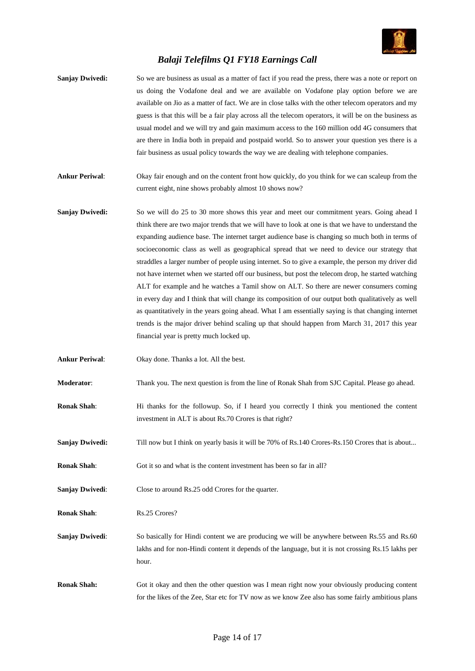![](_page_13_Picture_0.jpeg)

- **Sanjay Dwivedi:** So we are business as usual as a matter of fact if you read the press, there was a note or report on us doing the Vodafone deal and we are available on Vodafone play option before we are available on Jio as a matter of fact. We are in close talks with the other telecom operators and my guess is that this will be a fair play across all the telecom operators, it will be on the business as usual model and we will try and gain maximum access to the 160 million odd 4G consumers that are there in India both in prepaid and postpaid world. So to answer your question yes there is a fair business as usual policy towards the way we are dealing with telephone companies.
- **Ankur Periwal**: Okay fair enough and on the content front how quickly, do you think for we can scaleup from the current eight, nine shows probably almost 10 shows now?
- **Sanjay Dwivedi:** So we will do 25 to 30 more shows this year and meet our commitment years. Going ahead I think there are two major trends that we will have to look at one is that we have to understand the expanding audience base. The internet target audience base is changing so much both in terms of socioeconomic class as well as geographical spread that we need to device our strategy that straddles a larger number of people using internet. So to give a example, the person my driver did not have internet when we started off our business, but post the telecom drop, he started watching ALT for example and he watches a Tamil show on ALT. So there are newer consumers coming in every day and I think that will change its composition of our output both qualitatively as well as quantitatively in the years going ahead. What I am essentially saying is that changing internet trends is the major driver behind scaling up that should happen from March 31, 2017 this year financial year is pretty much locked up.
- **Ankur Periwal**: Okay done. Thanks a lot. All the best.
- **Moderator**: Thank you. The next question is from the line of Ronak Shah from SJC Capital. Please go ahead.
- **Ronak Shah:** Hi thanks for the followup. So, if I heard you correctly I think you mentioned the content investment in ALT is about Rs.70 Crores is that right?
- **Sanjay Dwivedi:** Till now but I think on yearly basis it will be 70% of Rs.140 Crores-Rs.150 Crores that is about...
- **Ronak Shah:** Got it so and what is the content investment has been so far in all?
- **Sanjay Dwivedi:** Close to around Rs.25 odd Crores for the quarter.
- **Ronak Shah:** Rs.25 Crores?
- **Sanjay Dwivedi:** So basically for Hindi content we are producing we will be anywhere between Rs.55 and Rs.60 lakhs and for non-Hindi content it depends of the language, but it is not crossing Rs.15 lakhs per hour.
- **Ronak Shah:** Got it okay and then the other question was I mean right now your obviously producing content for the likes of the Zee, Star etc for TV now as we know Zee also has some fairly ambitious plans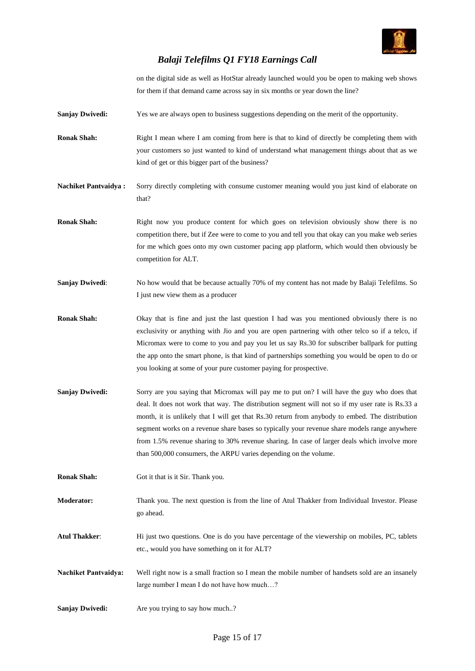![](_page_14_Picture_0.jpeg)

on the digital side as well as HotStar already launched would you be open to making web shows for them if that demand came across say in six months or year down the line?

**Sanjay Dwivedi:** Yes we are always open to business suggestions depending on the merit of the opportunity.

**Ronak Shah:** Right I mean where I am coming from here is that to kind of directly be completing them with your customers so just wanted to kind of understand what management things about that as we kind of get or this bigger part of the business?

**Nachiket Pantvaidya :** Sorry directly completing with consume customer meaning would you just kind of elaborate on that?

- Ronak Shah: Right now you produce content for which goes on television obviously show there is no competition there, but if Zee were to come to you and tell you that okay can you make web series for me which goes onto my own customer pacing app platform, which would then obviously be competition for ALT.
- **Sanjay Dwivedi:** No how would that be because actually 70% of my content has not made by Balaji Telefilms. So I just new view them as a producer
- **Ronak Shah:** Okay that is fine and just the last question I had was you mentioned obviously there is no exclusivity or anything with Jio and you are open partnering with other telco so if a telco, if Micromax were to come to you and pay you let us say Rs.30 for subscriber ballpark for putting the app onto the smart phone, is that kind of partnerships something you would be open to do or you looking at some of your pure customer paying for prospective.
- **Sanjay Dwivedi:** Sorry are you saying that Micromax will pay me to put on? I will have the guy who does that deal. It does not work that way. The distribution segment will not so if my user rate is Rs.33 a month, it is unlikely that I will get that Rs.30 return from anybody to embed. The distribution segment works on a revenue share bases so typically your revenue share models range anywhere from 1.5% revenue sharing to 30% revenue sharing. In case of larger deals which involve more than 500,000 consumers, the ARPU varies depending on the volume.

**Ronak Shah:** Got it that is it Sir. Thank you.

**Moderator:** Thank you. The next question is from the line of Atul Thakker from Individual Investor. Please go ahead.

**Atul Thakker**: Hi just two questions. One is do you have percentage of the viewership on mobiles, PC, tablets etc., would you have something on it for ALT?

- **Nachiket Pantvaidya:** Well right now is a small fraction so I mean the mobile number of handsets sold are an insanely large number I mean I do not have how much…?
- **Sanjay Dwivedi:** Are you trying to say how much..?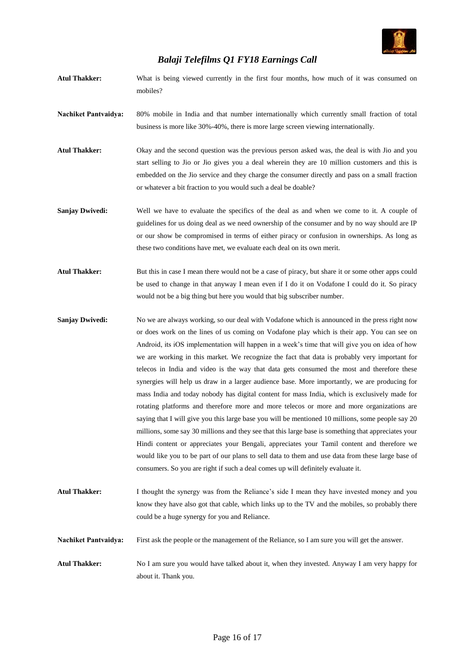![](_page_15_Picture_0.jpeg)

- **Atul Thakker:** What is being viewed currently in the first four months, how much of it was consumed on mobiles?
- **Nachiket Pantvaidya:** 80% mobile in India and that number internationally which currently small fraction of total business is more like 30%-40%, there is more large screen viewing internationally.
- **Atul Thakker:** Okay and the second question was the previous person asked was, the deal is with Jio and you start selling to Jio or Jio gives you a deal wherein they are 10 million customers and this is embedded on the Jio service and they charge the consumer directly and pass on a small fraction or whatever a bit fraction to you would such a deal be doable?
- **Sanjay Dwivedi:** Well we have to evaluate the specifics of the deal as and when we come to it. A couple of guidelines for us doing deal as we need ownership of the consumer and by no way should are IP or our show be compromised in terms of either piracy or confusion in ownerships. As long as these two conditions have met, we evaluate each deal on its own merit.
- Atul Thakker: But this in case I mean there would not be a case of piracy, but share it or some other apps could be used to change in that anyway I mean even if I do it on Vodafone I could do it. So piracy would not be a big thing but here you would that big subscriber number.
- **Sanjay Dwivedi:** No we are always working, so our deal with Vodafone which is announced in the press right now or does work on the lines of us coming on Vodafone play which is their app. You can see on Android, its iOS implementation will happen in a week's time that will give you on idea of how we are working in this market. We recognize the fact that data is probably very important for telecos in India and video is the way that data gets consumed the most and therefore these synergies will help us draw in a larger audience base. More importantly, we are producing for mass India and today nobody has digital content for mass India, which is exclusively made for rotating platforms and therefore more and more telecos or more and more organizations are saying that I will give you this large base you will be mentioned 10 millions, some people say 20 millions, some say 30 millions and they see that this large base is something that appreciates your Hindi content or appreciates your Bengali, appreciates your Tamil content and therefore we would like you to be part of our plans to sell data to them and use data from these large base of consumers. So you are right if such a deal comes up will definitely evaluate it.
- **Atul Thakker:** I thought the synergy was from the Reliance's side I mean they have invested money and you know they have also got that cable, which links up to the TV and the mobiles, so probably there could be a huge synergy for you and Reliance.
- **Nachiket Pantvaidya:** First ask the people or the management of the Reliance, so I am sure you will get the answer.
- **Atul Thakker:** No I am sure you would have talked about it, when they invested. Anyway I am very happy for about it. Thank you.